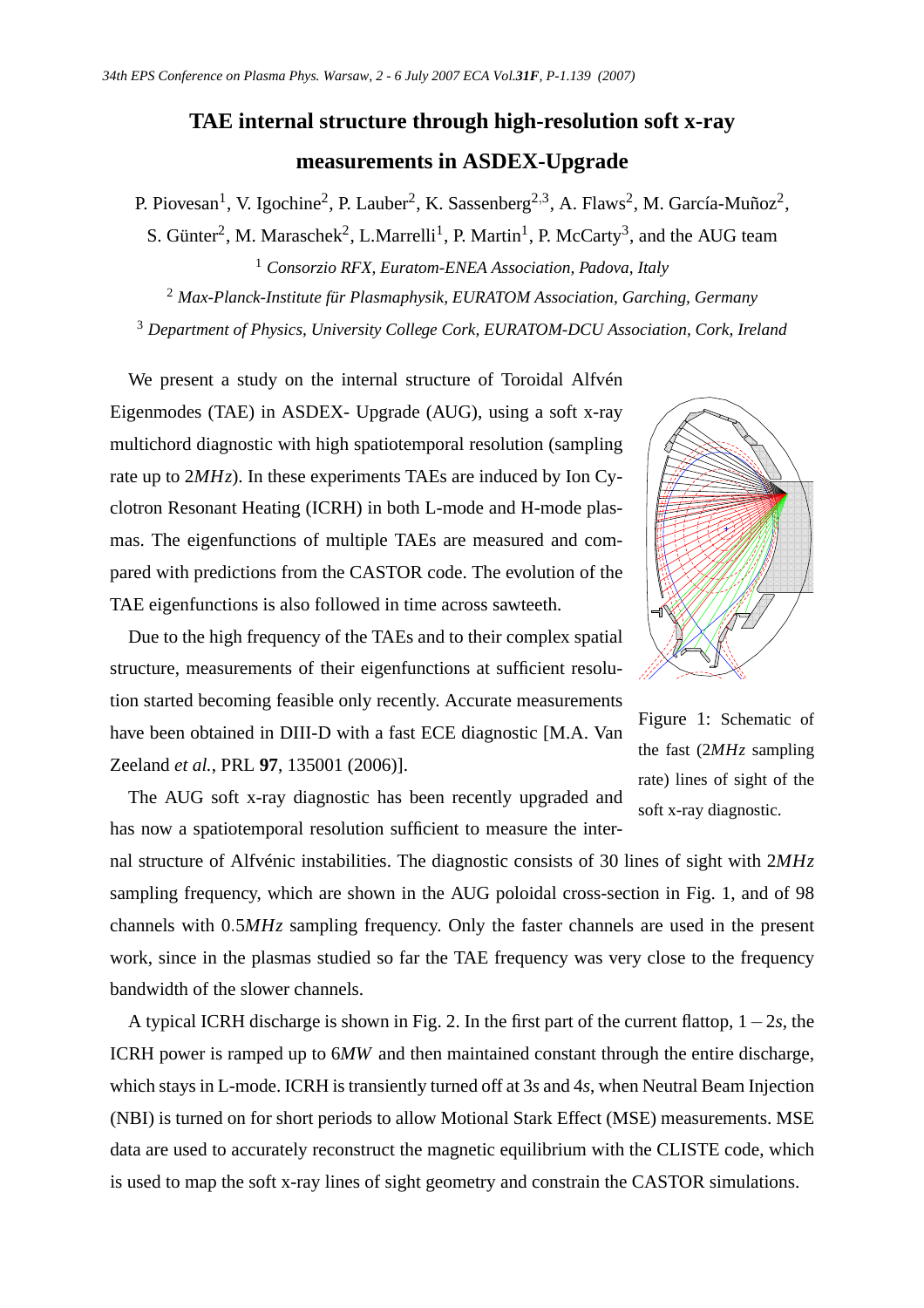## **TAE internal structure through high-resolution soft x-ray measurements in ASDEX-Upgrade**

P. Piovesan<sup>1</sup>, V. Igochine<sup>2</sup>, P. Lauber<sup>2</sup>, K. Sassenberg<sup>2,3</sup>, A. Flaws<sup>2</sup>, M. García-Muñoz<sup>2</sup>,

S. Günter<sup>2</sup>, M. Maraschek<sup>2</sup>, L.Marrelli<sup>1</sup>, P. Martin<sup>1</sup>, P. McCarty<sup>3</sup>, and the AUG team <sup>1</sup> *Consorzio RFX, Euratom-ENEA Association, Padova, Italy*

<sup>2</sup> *Max-Planck-Institute für Plasmaphysik, EURATOM Association, Garching, Germany* <sup>3</sup> *Department of Physics, University College Cork, EURATOM-DCU Association, Cork, Ireland*

We present a study on the internal structure of Toroidal Alfvén Eigenmodes (TAE) in ASDEX- Upgrade (AUG), using a soft x-ray multichord diagnostic with high spatiotemporal resolution (sampling rate up to 2*MHz*). In these experiments TAEs are induced by Ion Cyclotron Resonant Heating (ICRH) in both L-mode and H-mode plasmas. The eigenfunctions of multiple TAEs are measured and compared with predictions from the CASTOR code. The evolution of the TAE eigenfunctions is also followed in time across sawteeth.



Due to the high frequency of the TAEs and to their complex spatial structure, measurements of their eigenfunctions at sufficient resolution started becoming feasible only recently. Accurate measurements have been obtained in DIII-D with a fast ECE diagnostic [M.A. Van Zeeland *et al.*, PRL **97**, 135001 (2006)].

Figure 1: Schematic of the fast (2*MHz* sampling rate) lines of sight of the soft x-ray diagnostic.

The AUG soft x-ray diagnostic has been recently upgraded and has now a spatiotemporal resolution sufficient to measure the inter-

nal structure of Alfvénic instabilities. The diagnostic consists of 30 lines of sight with 2*MHz* sampling frequency, which are shown in the AUG poloidal cross-section in Fig. 1, and of 98 channels with 0.5*MHz* sampling frequency. Only the faster channels are used in the present work, since in the plasmas studied so far the TAE frequency was very close to the frequency bandwidth of the slower channels.

A typical ICRH discharge is shown in Fig. 2. In the first part of the current flattop, 1−2*s*, the ICRH power is ramped up to 6*MW* and then maintained constant through the entire discharge, which stays in L-mode. ICRH is transiently turned off at 3*s* and 4*s*, when Neutral Beam Injection (NBI) is turned on for short periods to allow Motional Stark Effect (MSE) measurements. MSE data are used to accurately reconstruct the magnetic equilibrium with the CLISTE code, which is used to map the soft x-ray lines of sight geometry and constrain the CASTOR simulations.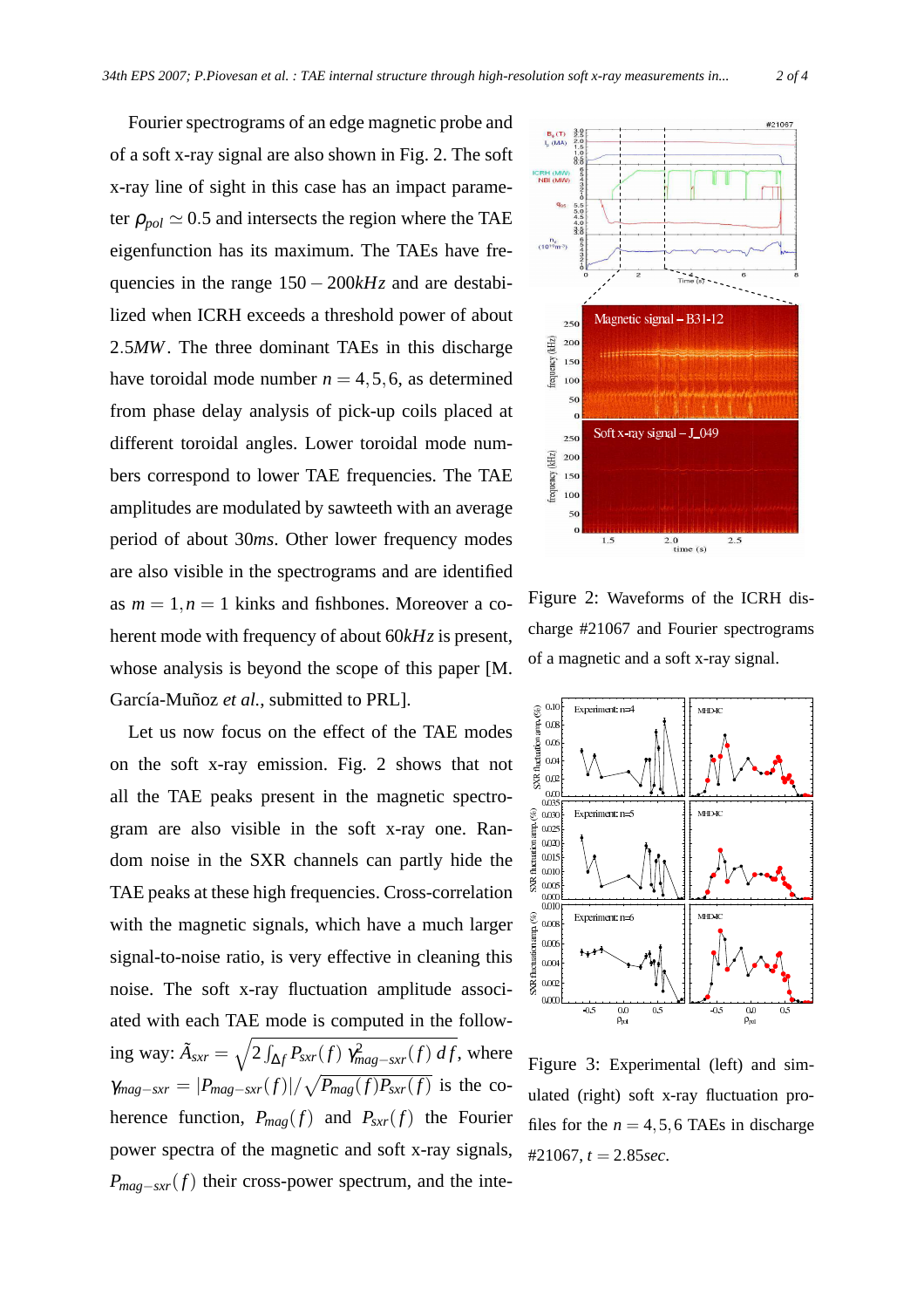Fourier spectrograms of an edge magnetic probe and of a soft x-ray signal are also shown in Fig. 2. The soft x-ray line of sight in this case has an impact parameter  $\rho_{pol} \simeq 0.5$  and intersects the region where the TAE eigenfunction has its maximum. The TAEs have frequencies in the range 150 − 200*kHz* and are destabilized when ICRH exceeds a threshold power of about 2.5*MW*. The three dominant TAEs in this discharge have toroidal mode number  $n = 4, 5, 6$ , as determined from phase delay analysis of pick-up coils placed at different toroidal angles. Lower toroidal mode numbers correspond to lower TAE frequencies. The TAE amplitudes are modulated by sawteeth with an average period of about 30*ms*. Other lower frequency modes are also visible in the spectrograms and are identified as  $m = 1, n = 1$  kinks and fishbones. Moreover a coherent mode with frequency of about 60*kHz* is present, whose analysis is beyond the scope of this paper [M. García-Muñoz *et al.*, submitted to PRL].

Let us now focus on the effect of the TAE modes on the soft x-ray emission. Fig. 2 shows that not all the TAE peaks present in the magnetic spectrogram are also visible in the soft x-ray one. Random noise in the SXR channels can partly hide the TAE peaks at these high frequencies. Cross-correlation with the magnetic signals, which have a much larger signal-to-noise ratio, is very effective in cleaning this noise. The soft x-ray fluctuation amplitude associated with each TAE mode is computed in the following way:  $\tilde{A}_{sxr} = \sqrt{2 \int_{\Delta f} P_{sxr}(f) \gamma_{mag-sxr}^2(f) df}$ , where  $\gamma_{mag-sxr} = |P_{mag-sxr}(f)| / \sqrt{P_{mag}(f)P_{sxr}(f)}$  is the coherence function,  $P_{mag}(f)$  and  $P_{sxr}(f)$  the Fourier power spectra of the magnetic and soft x-ray signals, *P*<sub>mag−sxr</sub>(*f*) their cross-power spectrum, and the inte-



Figure 2: Waveforms of the ICRH discharge #21067 and Fourier spectrograms of a magnetic and a soft x-ray signal.



Figure 3: Experimental (left) and simulated (right) soft x-ray fluctuation profiles for the  $n = 4, 5, 6$  TAEs in discharge #21067, *t* = 2.85*sec*.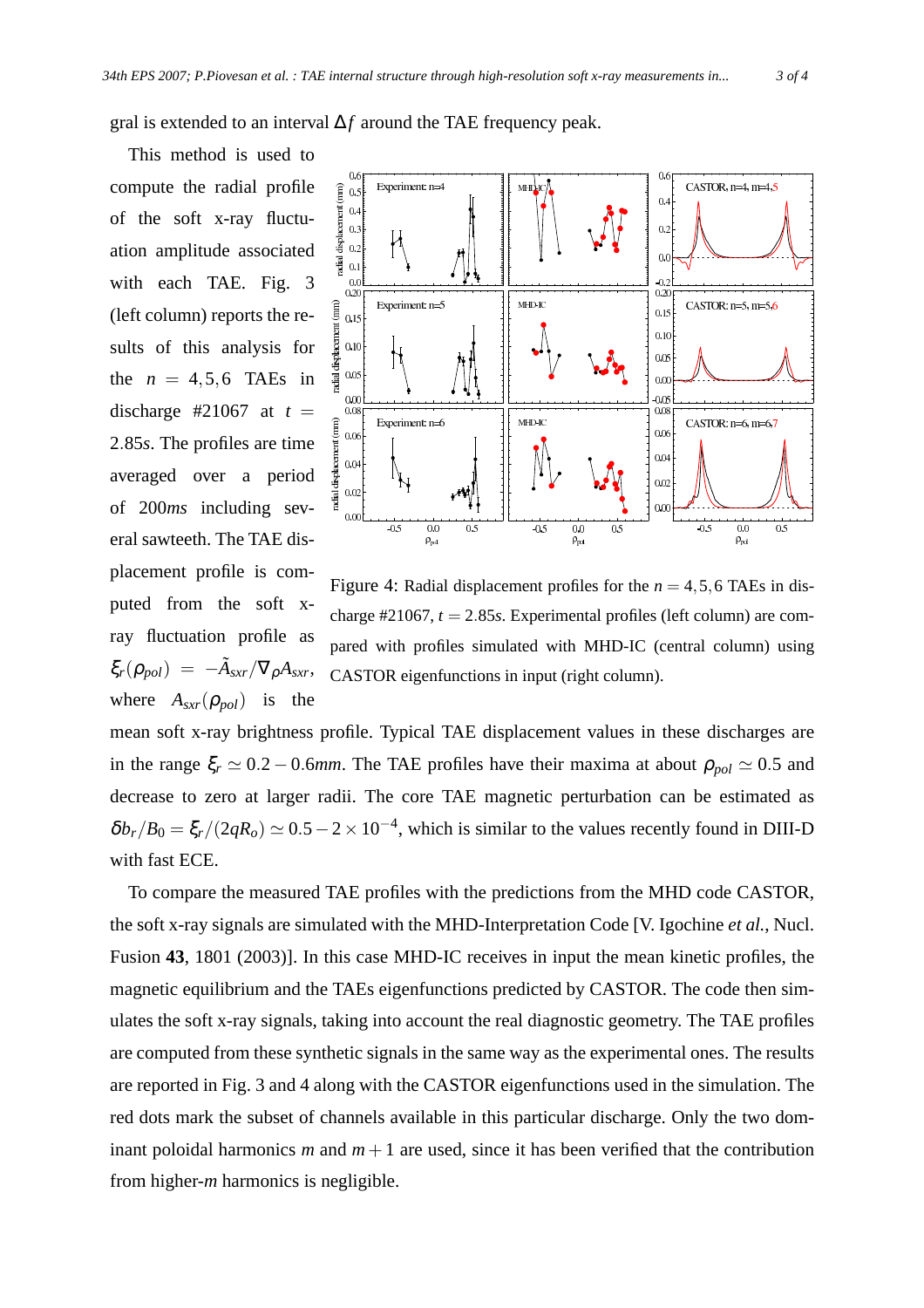gral is extended to an interval ∆*f* around the TAE frequency peak.

This method is used to compute the radial profile of the soft x-ray fluctuation amplitude associated with each TAE. Fig. 3 (left column) reports the results of this analysis for the  $n = 4, 5, 6$  TAEs in discharge #21067 at  $t =$ 2.85*s*. The profiles are time averaged over a period of 200*ms* including several sawteeth. The TAE displacement profile is computed from the soft xray fluctuation profile as  $\xi_r(\rho_{pol}) = -\tilde{A}_{sxr}/\nabla_{\rho}A_{sxr},$ where  $A_{sxr}(\rho_{pol})$  is the



Figure 4: Radial displacement profiles for the  $n = 4, 5, 6$  TAEs in discharge  $\#21067$ ,  $t = 2.85s$ . Experimental profiles (left column) are compared with profiles simulated with MHD-IC (central column) using CASTOR eigenfunctions in input (right column).

mean soft x-ray brightness profile. Typical TAE displacement values in these discharges are in the range  $\xi_r \simeq 0.2 - 0.6$ *mm*. The TAE profiles have their maxima at about  $\rho_{pol} \simeq 0.5$  and decrease to zero at larger radii. The core TAE magnetic perturbation can be estimated as  $\delta b_r/B_0 = \xi_r/(2qR_o) \simeq 0.5-2 \times 10^{-4}$ , which is similar to the values recently found in DIII-D with fast ECE.

To compare the measured TAE profiles with the predictions from the MHD code CASTOR, the soft x-ray signals are simulated with the MHD-Interpretation Code [V. Igochine *et al.*, Nucl. Fusion **43**, 1801 (2003)]. In this case MHD-IC receives in input the mean kinetic profiles, the magnetic equilibrium and the TAEs eigenfunctions predicted by CASTOR. The code then simulates the soft x-ray signals, taking into account the real diagnostic geometry. The TAE profiles are computed from these synthetic signals in the same way as the experimental ones. The results are reported in Fig. 3 and 4 along with the CASTOR eigenfunctions used in the simulation. The red dots mark the subset of channels available in this particular discharge. Only the two dominant poloidal harmonics *m* and  $m+1$  are used, since it has been verified that the contribution from higher-*m* harmonics is negligible.